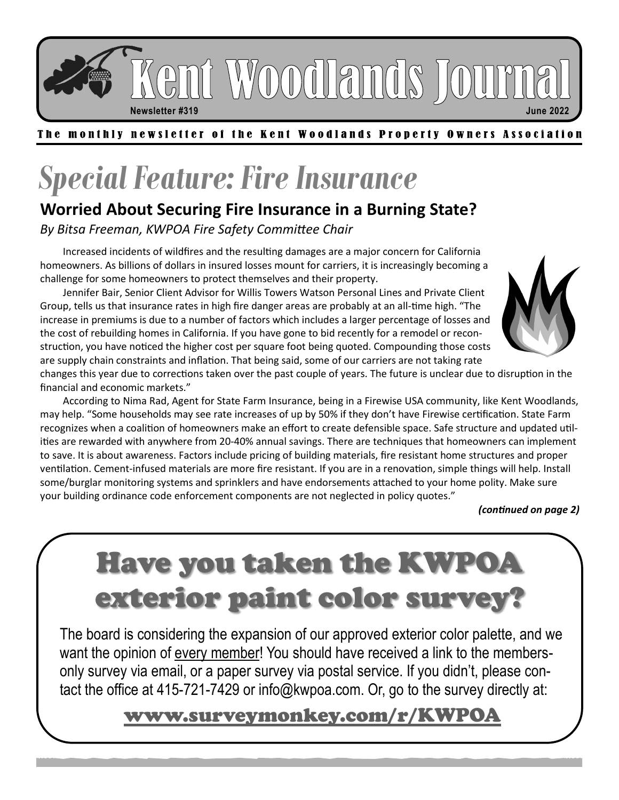Gni Woodlands Jour

**Newsletter #319 June 2022**

#### The monthly newsletter of the Kent Woodlands Property Owners Association

# *Special Feature: Fire Insurance*

### **Worried About Securing Fire Insurance in a Burning State?**

*By Bitsa Freeman, KWPOA Fire Safety Committee Chair*

Increased incidents of wildfires and the resulting damages are a major concern for California homeowners. As billions of dollars in insured losses mount for carriers, it is increasingly becoming a challenge for some homeowners to protect themselves and their property.

Jennifer Bair, Senior Client Advisor for Willis Towers Watson Personal Lines and Private Client Group, tells us that insurance rates in high fire danger areas are probably at an all-time high. "The increase in premiums is due to a number of factors which includes a larger percentage of losses and the cost of rebuilding homes in California. If you have gone to bid recently for a remodel or reconstruction, you have noticed the higher cost per square foot being quoted. Compounding those costs are supply chain constraints and inflation. That being said, some of our carriers are not taking rate



changes this year due to corrections taken over the past couple of years. The future is unclear due to disruption in the financial and economic markets."

According to Nima Rad, Agent for State Farm Insurance, being in a Firewise USA community, like Kent Woodlands, may help. "Some households may see rate increases of up by 50% if they don't have Firewise certification. State Farm recognizes when a coalition of homeowners make an effort to create defensible space. Safe structure and updated utilities are rewarded with anywhere from 20-40% annual savings. There are techniques that homeowners can implement to save. It is about awareness. Factors include pricing of building materials, fire resistant home structures and proper ventilation. Cement-infused materials are more fire resistant. If you are in a renovation, simple things will help. Install some/burglar monitoring systems and sprinklers and have endorsements attached to your home polity. Make sure your building ordinance code enforcement components are not neglected in policy quotes."

#### *(continued on page 2)*

# Have you taken the KWPOA exterior paint color survey?

The board is considering the expansion of our approved exterior color palette, and we want the opinion of every member! You should have received a link to the membersonly survey via email, or a paper survey via postal service. If you didn't, please contact the office at 415-721-7429 or info@kwpoa.com. Or, go to the survey directly at:

### [www.surveymonkey.com/r/KWPOA](https://www.surveymonkey.com/r/KWPOA)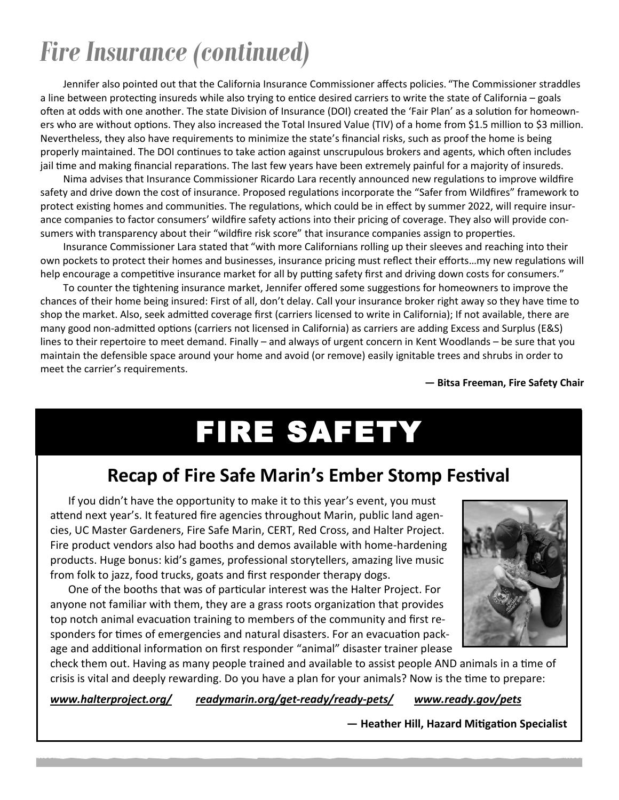## *Fire Insurance (continued)*

Jennifer also pointed out that the California Insurance Commissioner affects policies. "The Commissioner straddles a line between protecting insureds while also trying to entice desired carriers to write the state of California – goals often at odds with one another. The state Division of Insurance (DOI) created the 'Fair Plan' as a solution for homeowners who are without options. They also increased the Total Insured Value (TIV) of a home from \$1.5 million to \$3 million. Nevertheless, they also have requirements to minimize the state's financial risks, such as proof the home is being properly maintained. The DOI continues to take action against unscrupulous brokers and agents, which often includes jail time and making financial reparations. The last few years have been extremely painful for a majority of insureds.

Nima advises that Insurance Commissioner Ricardo Lara recently announced new regulations to improve wildfire safety and drive down the cost of insurance. Proposed regulations incorporate the "Safer from Wildfires" framework to protect existing homes and communities. The regulations, which could be in effect by summer 2022, will require insurance companies to factor consumers' wildfire safety actions into their pricing of coverage. They also will provide consumers with transparency about their "wildfire risk score" that insurance companies assign to properties.

Insurance Commissioner Lara stated that "with more Californians rolling up their sleeves and reaching into their own pockets to protect their homes and businesses, insurance pricing must reflect their efforts…my new regulations will help encourage a competitive insurance market for all by putting safety first and driving down costs for consumers."

To counter the tightening insurance market, Jennifer offered some suggestions for homeowners to improve the chances of their home being insured: First of all, don't delay. Call your insurance broker right away so they have time to shop the market. Also, seek admitted coverage first (carriers licensed to write in California); If not available, there are many good non-admitted options (carriers not licensed in California) as carriers are adding Excess and Surplus (E&S) lines to their repertoire to meet demand. Finally – and always of urgent concern in Kent Woodlands – be sure that you maintain the defensible space around your home and avoid (or remove) easily ignitable trees and shrubs in order to meet the carrier's requirements.

**— Bitsa Freeman, Fire Safety Chair**

# FIRE SAFETY

### **Recap of Fire Safe Marin's Ember Stomp Festival**

If you didn't have the opportunity to make it to this year's event, you must attend next year's. It featured fire agencies throughout Marin, public land agencies, UC Master Gardeners, Fire Safe Marin, CERT, Red Cross, and Halter Project. Fire product vendors also had booths and demos available with home-hardening products. Huge bonus: kid's games, professional storytellers, amazing live music from folk to jazz, food trucks, goats and first responder therapy dogs.

One of the booths that was of particular interest was the Halter Project. For anyone not familiar with them, they are a grass roots organization that provides top notch animal evacuation training to members of the community and first responders for times of emergencies and natural disasters. For an evacuation package and additional information on first responder "animal" disaster trainer please



check them out. Having as many people trained and available to assist people AND animals in a time of crisis is vital and deeply rewarding. Do you have a plan for your animals? Now is the time to prepare:

*[www.halterproject.org/](https://www.halterproject.org/) [readymarin.org/get](https://readymarin.org/get-ready/ready-pets/)-ready/ready-pets/ [www.ready.gov/pets](https://www.ready.gov/pets)*

**— Heather Hill, Hazard Mitigation Specialist**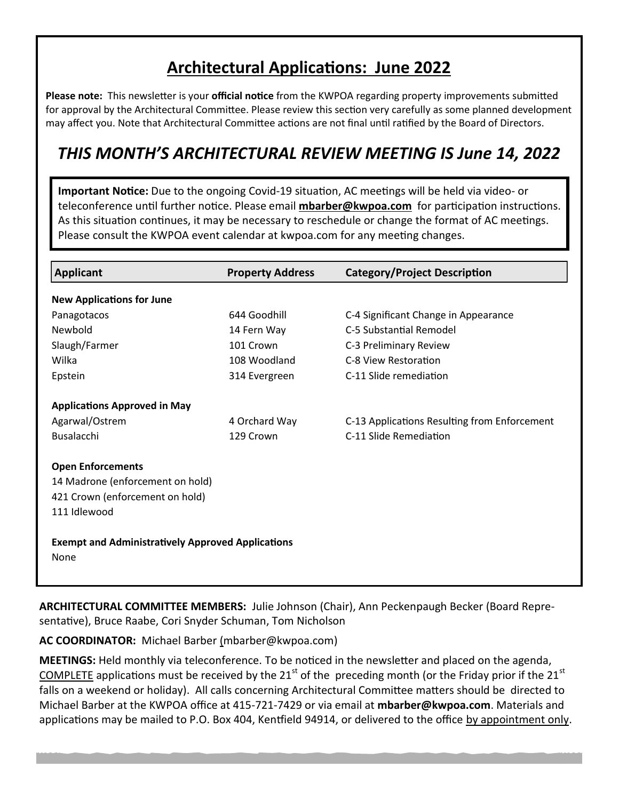### **Architectural Applications: June 2022**

**Please note:** This newsletter is your **official notice** from the KWPOA regarding property improvements submitted for approval by the Architectural Committee. Please review this section very carefully as some planned development may affect you. Note that Architectural Committee actions are not final until ratified by the Board of Directors.

### *THIS MONTH'S ARCHITECTURAL REVIEW MEETING IS June 14, 2022*

**Important Notice:** Due to the ongoing Covid-19 situation, AC meetings will be held via video- or teleconference until further notice. Please email **[mbarber@kwpoa.com](mailto:mbarber@kwpoa.com)** for participation instructions. As this situation continues, it may be necessary to reschedule or change the format of AC meetings. Please consult the KWPOA event calendar at kwpoa.com for any meeting changes.

| <b>Applicant</b>                                                 | <b>Property Address</b> | <b>Category/Project Description</b>          |
|------------------------------------------------------------------|-------------------------|----------------------------------------------|
| <b>New Applications for June</b>                                 |                         |                                              |
| Panagotacos                                                      | 644 Goodhill            | C-4 Significant Change in Appearance         |
| Newbold                                                          | 14 Fern Way             | C-5 Substantial Remodel                      |
| Slaugh/Farmer                                                    | 101 Crown               | C-3 Preliminary Review                       |
| Wilka                                                            | 108 Woodland            | C-8 View Restoration                         |
| Epstein                                                          | 314 Evergreen           | C-11 Slide remediation                       |
| <b>Applications Approved in May</b>                              |                         |                                              |
| Agarwal/Ostrem                                                   | 4 Orchard Way           | C-13 Applications Resulting from Enforcement |
| <b>Busalacchi</b>                                                | 129 Crown               | C-11 Slide Remediation                       |
| <b>Open Enforcements</b>                                         |                         |                                              |
| 14 Madrone (enforcement on hold)                                 |                         |                                              |
| 421 Crown (enforcement on hold)                                  |                         |                                              |
| 111 Idlewood                                                     |                         |                                              |
| <b>Exempt and Administratively Approved Applications</b><br>None |                         |                                              |

**ARCHITECTURAL COMMITTEE MEMBERS:** Julie Johnson (Chair), Ann Peckenpaugh Becker (Board Representative), Bruce Raabe, Cori Snyder Schuman, Tom Nicholson

**AC COORDINATOR:** Michael Barber [\(mbarber@kwpoa.com\)](mailto:mbarber@kwpoa.com)

**MEETINGS:** Held monthly via teleconference. To be noticed in the newsletter and placed on the agenda, COMPLETE applications must be received by the 21<sup>st</sup> of the preceding month (or the Friday prior if the 21<sup>st</sup> falls on a weekend or holiday). All calls concerning Architectural Committee matters should be directed to Michael Barber at the KWPOA office at 415-721-7429 or via email at **[mbarber@kwpoa.com](mailto:mbarber@kwpoa.com)**. Materials and applications may be mailed to P.O. Box 404, Kentfield 94914, or delivered to the office by appointment only.